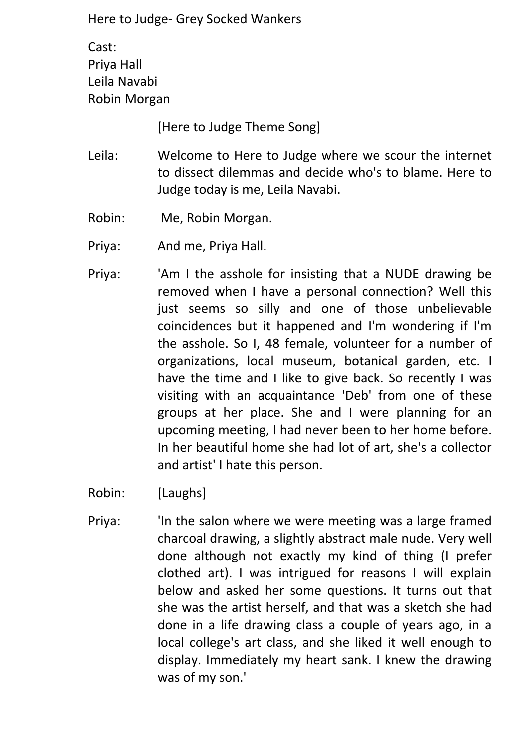Cast: Priya Hall Leila Navabi Robin Morgan

[Here to Judge Theme Song]

- Leila: Welcome to Here to Judge where we scour the internet to dissect dilemmas and decide who's to blame. Here to Judge today is me, Leila Navabi.
- Robin: Me, Robin Morgan.
- Priya: And me, Priya Hall.
- Priya: 'Am I the asshole for insisting that a NUDE drawing be removed when I have a personal connection? Well this just seems so silly and one of those unbelievable coincidences but it happened and I'm wondering if I'm the asshole. So I, 48 female, volunteer for a number of organizations, local museum, botanical garden, etc. I have the time and I like to give back. So recently I was visiting with an acquaintance 'Deb' from one of these groups at her place. She and I were planning for an upcoming meeting, I had never been to her home before. In her beautiful home she had lot of art, she's a collector and artist' I hate this person.
- Robin: [Laughs]
- Priya: 'In the salon where we were meeting was a large framed charcoal drawing, a slightly abstract male nude. Very well done although not exactly my kind of thing (I prefer clothed art). I was intrigued for reasons I will explain below and asked her some questions. It turns out that she was the artist herself, and that was a sketch she had done in a life drawing class a couple of years ago, in a local college's art class, and she liked it well enough to display. Immediately my heart sank. I knew the drawing was of my son.'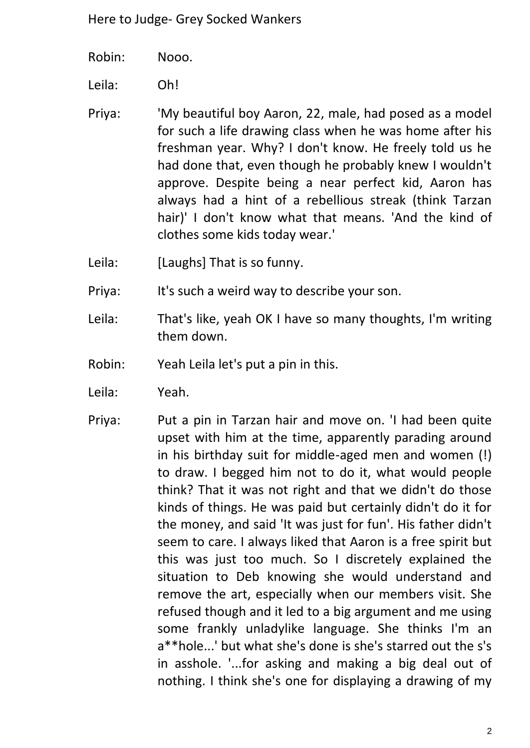- Robin: Nooo.
- Leila: Oh!
- Priya: 'My beautiful boy Aaron, 22, male, had posed as a model for such a life drawing class when he was home after his freshman year. Why? I don't know. He freely told us he had done that, even though he probably knew I wouldn't approve. Despite being a near perfect kid, Aaron has always had a hint of a rebellious streak (think Tarzan hair)' I don't know what that means. 'And the kind of clothes some kids today wear.'
- Leila: [Laughs] That is so funny.
- Priya: It's such a weird way to describe your son.
- Leila: That's like, yeah OK I have so many thoughts, I'm writing them down.
- Robin: Yeah Leila let's put a pin in this.
- Leila: Yeah.
- Priya: Put a pin in Tarzan hair and move on. 'I had been quite upset with him at the time, apparently parading around in his birthday suit for middle-aged men and women (!) to draw. I begged him not to do it, what would people think? That it was not right and that we didn't do those kinds of things. He was paid but certainly didn't do it for the money, and said 'It was just for fun'. His father didn't seem to care. I always liked that Aaron is a free spirit but this was just too much. So I discretely explained the situation to Deb knowing she would understand and remove the art, especially when our members visit. She refused though and it led to a big argument and me using some frankly unladylike language. She thinks I'm an a\*\*hole...' but what she's done is she's starred out the s's in asshole. '...for asking and making a big deal out of nothing. I think she's one for displaying a drawing of my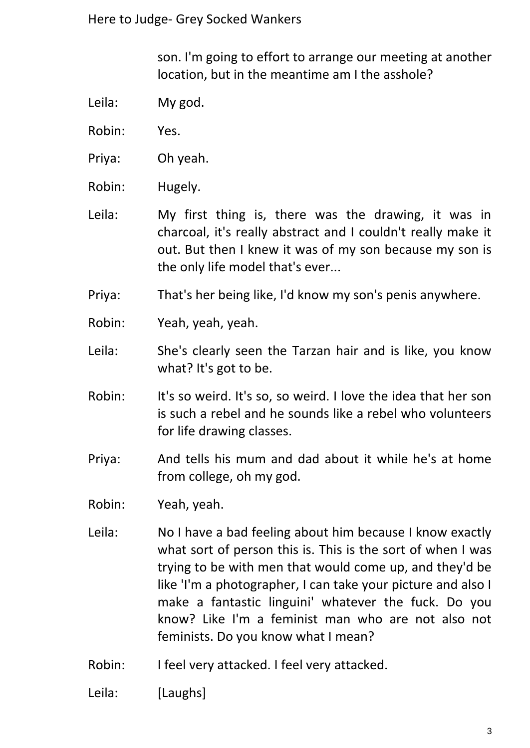son. I'm going to effort to arrange our meeting at another location, but in the meantime am I the asshole?

- Leila: My god.
- Robin: Yes.
- Priya: Oh yeah.
- Robin: Hugely.
- Leila: My first thing is, there was the drawing, it was in charcoal, it's really abstract and I couldn't really make it out. But then I knew it was of my son because my son is the only life model that's ever...
- Priya: That's her being like, I'd know my son's penis anywhere.
- Robin: Yeah, yeah, yeah.
- Leila: She's clearly seen the Tarzan hair and is like, you know what? It's got to be.
- Robin: It's so weird. It's so, so weird. I love the idea that her son is such a rebel and he sounds like a rebel who volunteers for life drawing classes.
- Priya: And tells his mum and dad about it while he's at home from college, oh my god.
- Robin: Yeah, yeah.
- Leila: No I have a bad feeling about him because I know exactly what sort of person this is. This is the sort of when I was trying to be with men that would come up, and they'd be like 'I'm a photographer, I can take your picture and also I make a fantastic linguini' whatever the fuck. Do you know? Like I'm a feminist man who are not also not feminists. Do you know what I mean?
- Robin: I feel very attacked. I feel very attacked.
- Leila: [Laughs]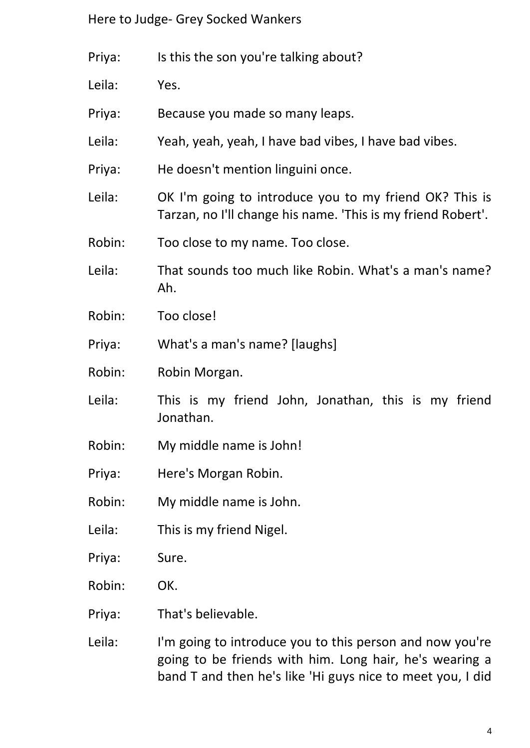| Priya: | Is this the son you're talking about?                                                                                  |
|--------|------------------------------------------------------------------------------------------------------------------------|
| Leila: | Yes.                                                                                                                   |
| Priya: | Because you made so many leaps.                                                                                        |
| Leila: | Yeah, yeah, yeah, I have bad vibes, I have bad vibes.                                                                  |
| Priya: | He doesn't mention linguini once.                                                                                      |
| Leila: | OK I'm going to introduce you to my friend OK? This is<br>Tarzan, no I'll change his name. 'This is my friend Robert'. |
| Robin: | Too close to my name. Too close.                                                                                       |
| Leila: | That sounds too much like Robin. What's a man's name?<br>Ah.                                                           |
| Robin: | Too close!                                                                                                             |
| Priya: | What's a man's name? [laughs]                                                                                          |
| Robin: | Robin Morgan.                                                                                                          |
| Leila: | This is my friend John, Jonathan, this is my friend<br>Jonathan.                                                       |
| Robin: | My middle name is John!                                                                                                |
| Priya: | Here's Morgan Robin.                                                                                                   |
| Robin: | My middle name is John.                                                                                                |
| Leila: | This is my friend Nigel.                                                                                               |
| Priya: | Sure.                                                                                                                  |
| Robin: | OK.                                                                                                                    |
| Priya: | That's believable.                                                                                                     |
| Leila: | I'm going to introduce you to this person and now you're<br>going to be friends with him. Long hair, he's wearing a    |

band T and then he's like 'Hi guys nice to meet you, I did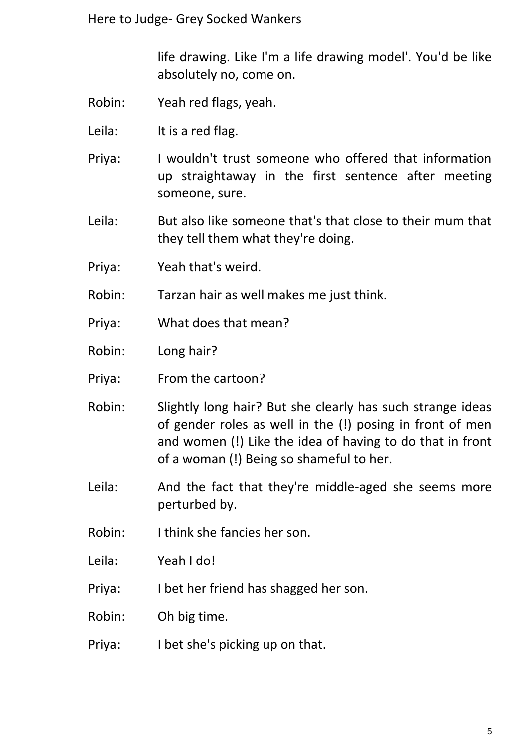life drawing. Like I'm a life drawing model'. You'd be like absolutely no, come on.

- Robin: Yeah red flags, yeah.
- Leila: It is a red flag.
- Priya: I wouldn't trust someone who offered that information up straightaway in the first sentence after meeting someone, sure.
- Leila: But also like someone that's that close to their mum that they tell them what they're doing.
- Priya: Yeah that's weird.
- Robin: Tarzan hair as well makes me just think.
- Priya: What does that mean?
- Robin: Long hair?
- Priya: From the cartoon?
- Robin: Slightly long hair? But she clearly has such strange ideas of gender roles as well in the (!) posing in front of men and women (!) Like the idea of having to do that in front of a woman (!) Being so shameful to her.
- Leila: And the fact that they're middle-aged she seems more perturbed by.
- Robin: I think she fancies her son.
- Leila: Yeah I do!
- Priya: I bet her friend has shagged her son.
- Robin: Oh big time.
- Priya: I bet she's picking up on that.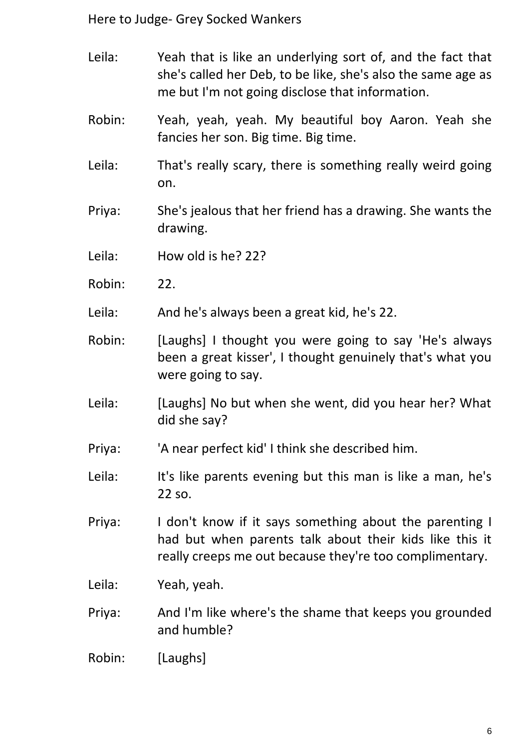- Leila: Yeah that is like an underlying sort of, and the fact that she's called her Deb, to be like, she's also the same age as me but I'm not going disclose that information.
- Robin: Yeah, yeah, yeah. My beautiful boy Aaron. Yeah she fancies her son. Big time. Big time.
- Leila: That's really scary, there is something really weird going on.
- Priya: She's jealous that her friend has a drawing. She wants the drawing.
- Leila: How old is he? 22?
- Robin: 22.
- Leila: And he's always been a great kid, he's 22.
- Robin: [Laughs] I thought you were going to say 'He's always been a great kisser', I thought genuinely that's what you were going to say.
- Leila: [Laughs] No but when she went, did you hear her? What did she say?
- Priya: 'A near perfect kid' I think she described him.
- Leila: It's like parents evening but this man is like a man, he's 22 so.
- Priya: I don't know if it says something about the parenting I had but when parents talk about their kids like this it really creeps me out because they're too complimentary.
- Leila: Yeah, yeah.
- Priya: And I'm like where's the shame that keeps you grounded and humble?
- Robin: [Laughs]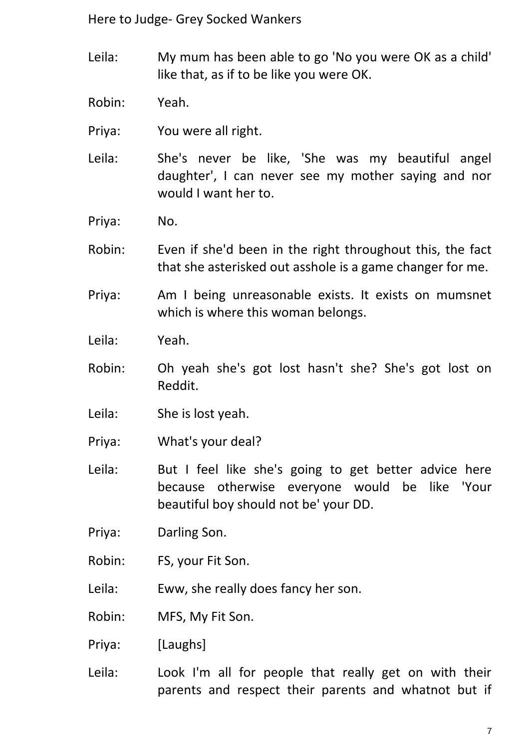- Leila: My mum has been able to go 'No you were OK as a child' like that, as if to be like you were OK.
- Robin: Yeah.
- Priya: You were all right.
- Leila: She's never be like, 'She was my beautiful angel daughter', I can never see my mother saying and nor would I want her to.
- Priya: No.
- Robin: Even if she'd been in the right throughout this, the fact that she asterisked out asshole is a game changer for me.
- Priya: Am I being unreasonable exists. It exists on mumsnet which is where this woman belongs.
- Leila: Yeah.
- Robin: Oh yeah she's got lost hasn't she? She's got lost on Reddit.
- Leila: She is lost yeah.
- Priya: What's your deal?
- Leila: But I feel like she's going to get better advice here because otherwise everyone would be like 'Your beautiful boy should not be' your DD.
- Priya: Darling Son.
- Robin: FS, your Fit Son.
- Leila: Eww, she really does fancy her son.
- Robin: MFS, My Fit Son.
- Priya: [Laughs]
- Leila: Look I'm all for people that really get on with their parents and respect their parents and whatnot but if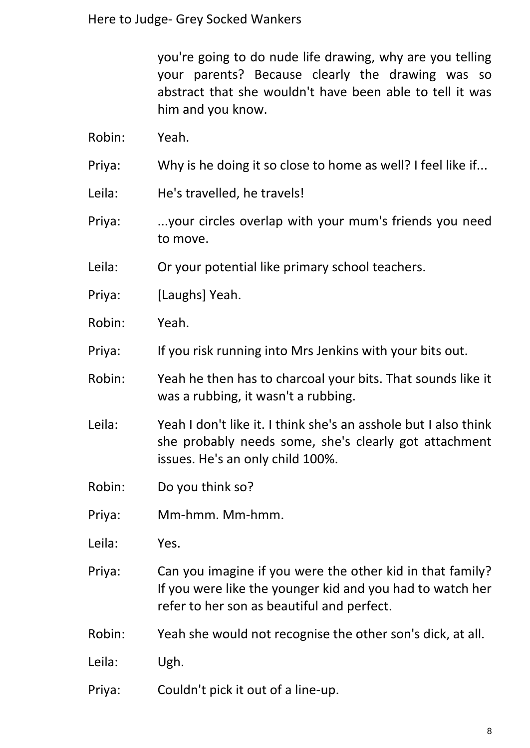you're going to do nude life drawing, why are you telling your parents? Because clearly the drawing was so abstract that she wouldn't have been able to tell it was him and you know.

- Robin: Yeah.
- Priya: Why is he doing it so close to home as well? I feel like if...
- Leila: He's travelled, he travels!
- Priya: ...your circles overlap with your mum's friends you need to move.
- Leila: Or your potential like primary school teachers.
- Priya: [Laughs] Yeah.
- Robin: Yeah.
- Priya: If you risk running into Mrs Jenkins with your bits out.
- Robin: Yeah he then has to charcoal your bits. That sounds like it was a rubbing, it wasn't a rubbing.
- Leila: Yeah I don't like it. I think she's an asshole but I also think she probably needs some, she's clearly got attachment issues. He's an only child 100%.
- Robin: Do you think so?
- Priya: Mm-hmm. Mm-hmm.
- Leila: Yes.
- Priya: Can you imagine if you were the other kid in that family? If you were like the younger kid and you had to watch her refer to her son as beautiful and perfect.
- Robin: Yeah she would not recognise the other son's dick, at all.
- Leila: Ugh.
- Priya: Couldn't pick it out of a line-up.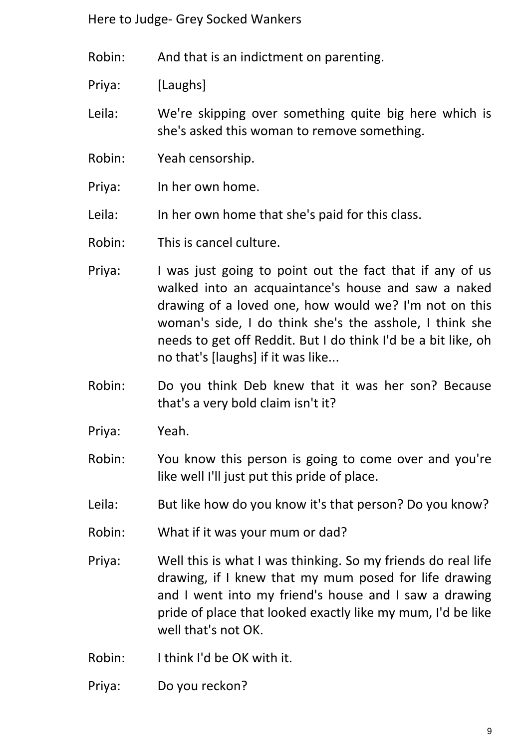Robin: And that is an indictment on parenting.

Priya: [Laughs]

Leila: We're skipping over something quite big here which is she's asked this woman to remove something.

- Robin: Yeah censorship.
- Priya: In her own home.
- Leila: In her own home that she's paid for this class.
- Robin: This is cancel culture.
- Priya: I was just going to point out the fact that if any of us walked into an acquaintance's house and saw a naked drawing of a loved one, how would we? I'm not on this woman's side, I do think she's the asshole, I think she needs to get off Reddit. But I do think I'd be a bit like, oh no that's [laughs] if it was like...
- Robin: Do you think Deb knew that it was her son? Because that's a very bold claim isn't it?
- Priya: Yeah.
- Robin: You know this person is going to come over and you're like well I'll just put this pride of place.
- Leila: But like how do you know it's that person? Do you know?
- Robin: What if it was your mum or dad?
- Priya: Well this is what I was thinking. So my friends do real life drawing, if I knew that my mum posed for life drawing and I went into my friend's house and I saw a drawing pride of place that looked exactly like my mum, I'd be like well that's not OK.
- Robin: I think I'd be OK with it.
- Priya: Do you reckon?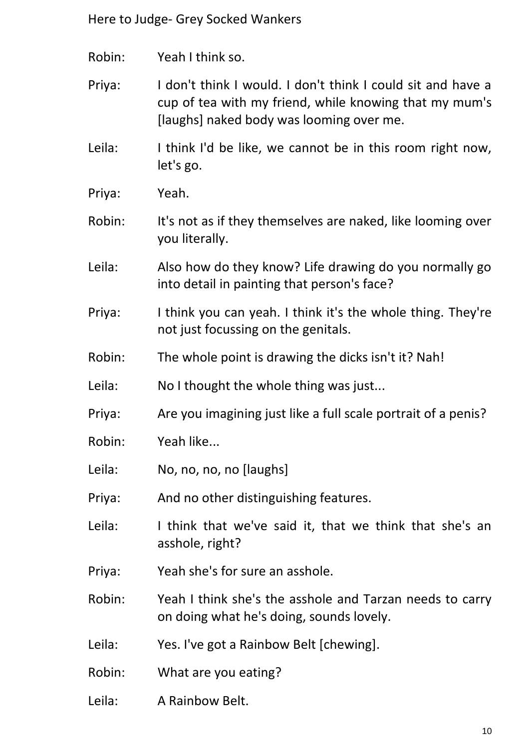Robin: Yeah I think so.

Priya: I don't think I would. I don't think I could sit and have a cup of tea with my friend, while knowing that my mum's [laughs] naked body was looming over me.

Leila: I think I'd be like, we cannot be in this room right now, let's go.

Priya: Yeah.

Robin: It's not as if they themselves are naked, like looming over you literally.

- Leila: Also how do they know? Life drawing do you normally go into detail in painting that person's face?
- Priya: I think you can yeah. I think it's the whole thing. They're not just focussing on the genitals.
- Robin: The whole point is drawing the dicks isn't it? Nah!
- Leila: No I thought the whole thing was just...
- Priya: Are you imagining just like a full scale portrait of a penis?
- Robin: Yeah like...
- Leila: No, no, no, no [laughs]
- Priya: And no other distinguishing features.
- Leila: I think that we've said it, that we think that she's an asshole, right?
- Priya: Yeah she's for sure an asshole.

Robin: Yeah I think she's the asshole and Tarzan needs to carry on doing what he's doing, sounds lovely.

Leila: Yes. I've got a Rainbow Belt [chewing].

- Robin: What are you eating?
- Leila: A Rainbow Belt.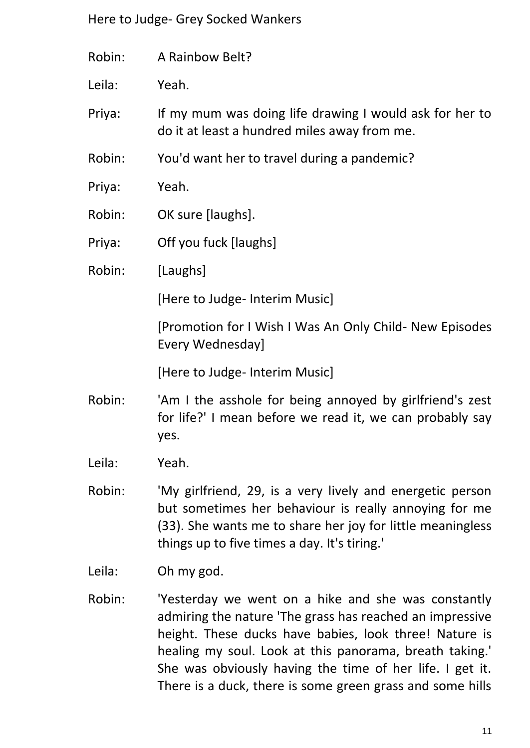| Robin: | A Rainbow Belt?                                                                                                                                                                                                                 |
|--------|---------------------------------------------------------------------------------------------------------------------------------------------------------------------------------------------------------------------------------|
| Leila: | Yeah.                                                                                                                                                                                                                           |
| Priya: | If my mum was doing life drawing I would ask for her to<br>do it at least a hundred miles away from me.                                                                                                                         |
| Robin: | You'd want her to travel during a pandemic?                                                                                                                                                                                     |
| Priya: | Yeah.                                                                                                                                                                                                                           |
| Robin: | OK sure [laughs].                                                                                                                                                                                                               |
| Priya: | Off you fuck [laughs]                                                                                                                                                                                                           |
| Robin: | [Laughs]                                                                                                                                                                                                                        |
|        | [Here to Judge- Interim Music]                                                                                                                                                                                                  |
|        | [Promotion for I Wish I Was An Only Child- New Episodes<br>Every Wednesday]                                                                                                                                                     |
|        | [Here to Judge- Interim Music]                                                                                                                                                                                                  |
| Robin: | 'Am I the asshole for being annoyed by girlfriend's zest<br>for life?' I mean before we read it, we can probably say<br>yes.                                                                                                    |
| Leila: | Yeah.                                                                                                                                                                                                                           |
| Robin: | 'My girlfriend, 29, is a very lively and energetic person<br>but sometimes her behaviour is really annoying for me<br>(33). She wants me to share her joy for little meaningless<br>things up to five times a day. It's tiring. |
| Leila: |                                                                                                                                                                                                                                 |

Robin: 'Yesterday we went on a hike and she was constantly admiring the nature 'The grass has reached an impressive height. These ducks have babies, look three! Nature is healing my soul. Look at this panorama, breath taking.' She was obviously having the time of her life. I get it. There is a duck, there is some green grass and some hills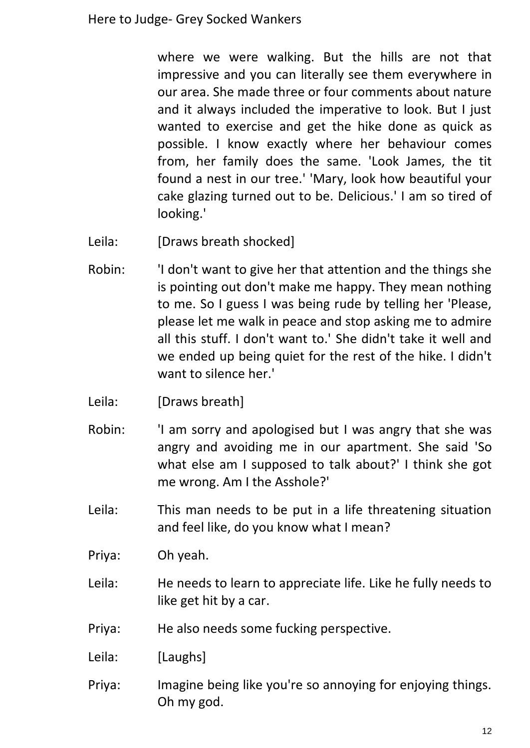where we were walking. But the hills are not that impressive and you can literally see them everywhere in our area. She made three or four comments about nature and it always included the imperative to look. But I just wanted to exercise and get the hike done as quick as possible. I know exactly where her behaviour comes from, her family does the same. 'Look James, the tit found a nest in our tree.' 'Mary, look how beautiful your cake glazing turned out to be. Delicious.' I am so tired of looking.'

- Leila: [Draws breath shocked]
- Robin: 'I don't want to give her that attention and the things she is pointing out don't make me happy. They mean nothing to me. So I guess I was being rude by telling her 'Please, please let me walk in peace and stop asking me to admire all this stuff. I don't want to.' She didn't take it well and we ended up being quiet for the rest of the hike. I didn't want to silence her.'
- Leila: [Draws breath]
- Robin: 'I am sorry and apologised but I was angry that she was angry and avoiding me in our apartment. She said 'So what else am I supposed to talk about?' I think she got me wrong. Am I the Asshole?'
- Leila: This man needs to be put in a life threatening situation and feel like, do you know what I mean?
- Priya: Oh yeah.
- Leila: He needs to learn to appreciate life. Like he fully needs to like get hit by a car.
- Priya: He also needs some fucking perspective.
- Leila: [Laughs]
- Priya: Imagine being like you're so annoying for enjoying things. Oh my god.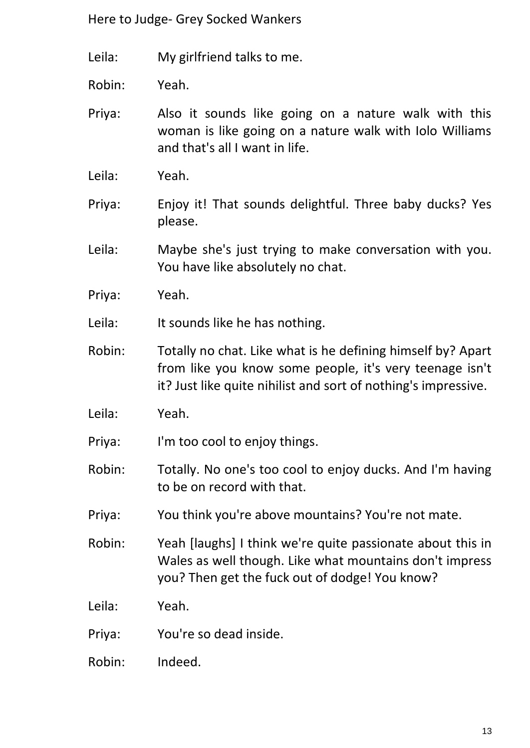Leila: My girlfriend talks to me.

Robin: Yeah.

- Priya: Also it sounds like going on a nature walk with this woman is like going on a nature walk with Iolo Williams and that's all I want in life.
- Leila: Yeah.
- Priya: Enjoy it! That sounds delightful. Three baby ducks? Yes please.
- Leila: Maybe she's just trying to make conversation with you. You have like absolutely no chat.
- Priya: Yeah.
- Leila: It sounds like he has nothing.
- Robin: Totally no chat. Like what is he defining himself by? Apart from like you know some people, it's very teenage isn't it? Just like quite nihilist and sort of nothing's impressive.
- Leila: Yeah.
- Priya: I'm too cool to enjoy things.
- Robin: Totally. No one's too cool to enjoy ducks. And I'm having to be on record with that.
- Priya: You think you're above mountains? You're not mate.
- Robin: Yeah [laughs] I think we're quite passionate about this in Wales as well though. Like what mountains don't impress you? Then get the fuck out of dodge! You know?
- Leila: Yeah.
- Priya: You're so dead inside.
- Robin: Indeed.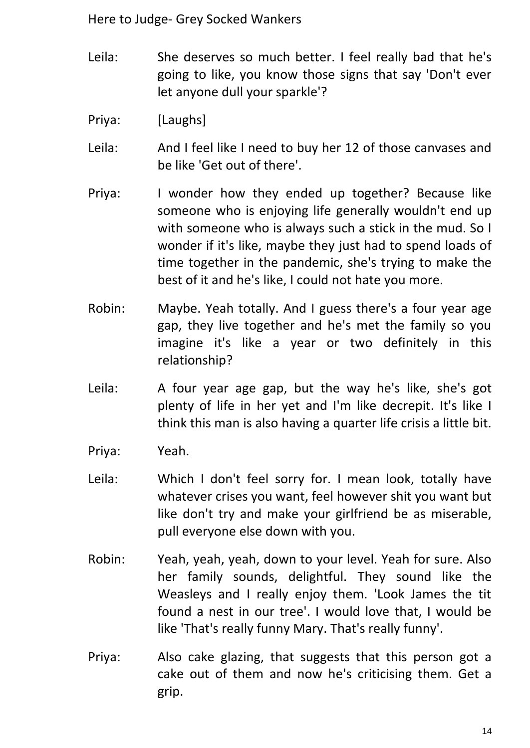- Leila: She deserves so much better. I feel really bad that he's going to like, you know those signs that say 'Don't ever let anyone dull your sparkle'?
- Priya: [Laughs]
- Leila: And I feel like I need to buy her 12 of those canvases and be like 'Get out of there'.
- Priya: I wonder how they ended up together? Because like someone who is enjoying life generally wouldn't end up with someone who is always such a stick in the mud. So I wonder if it's like, maybe they just had to spend loads of time together in the pandemic, she's trying to make the best of it and he's like, I could not hate you more.
- Robin: Maybe. Yeah totally. And I guess there's a four year age gap, they live together and he's met the family so you imagine it's like a year or two definitely in this relationship?
- Leila: A four year age gap, but the way he's like, she's got plenty of life in her yet and I'm like decrepit. It's like I think this man is also having a quarter life crisis a little bit.
- Priya: Yeah.
- Leila: Which I don't feel sorry for. I mean look, totally have whatever crises you want, feel however shit you want but like don't try and make your girlfriend be as miserable, pull everyone else down with you.
- Robin: Yeah, yeah, yeah, down to your level. Yeah for sure. Also her family sounds, delightful. They sound like the Weasleys and I really enjoy them. 'Look James the tit found a nest in our tree'. I would love that, I would be like 'That's really funny Mary. That's really funny'.
- Priya: Also cake glazing, that suggests that this person got a cake out of them and now he's criticising them. Get a grip.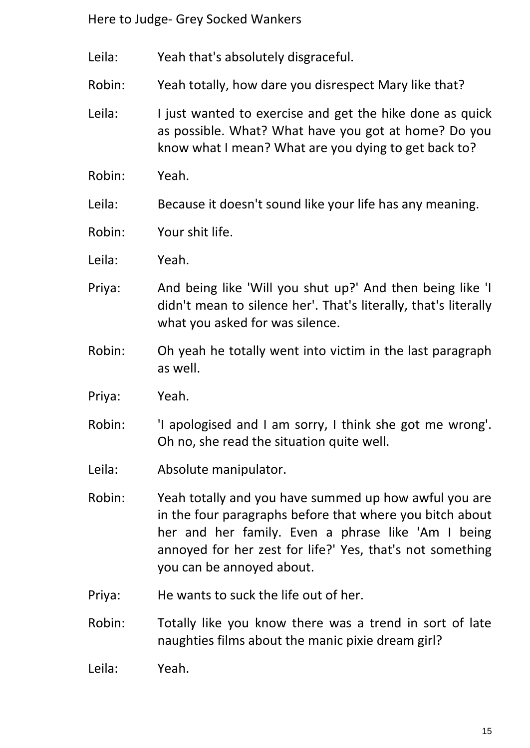- Leila: Yeah that's absolutely disgraceful.
- Robin: Yeah totally, how dare you disrespect Mary like that?
- Leila: I just wanted to exercise and get the hike done as quick as possible. What? What have you got at home? Do you know what I mean? What are you dying to get back to?
- Robin: Yeah.
- Leila: Because it doesn't sound like your life has any meaning.
- Robin: Your shit life.
- Leila: Yeah.
- Priya: And being like 'Will you shut up?' And then being like 'I didn't mean to silence her'. That's literally, that's literally what you asked for was silence.
- Robin: Oh yeah he totally went into victim in the last paragraph as well.
- Priya: Yeah.
- Robin: 'I apologised and I am sorry, I think she got me wrong'. Oh no, she read the situation quite well.
- Leila: Absolute manipulator.
- Robin: Yeah totally and you have summed up how awful you are in the four paragraphs before that where you bitch about her and her family. Even a phrase like 'Am I being annoyed for her zest for life?' Yes, that's not something you can be annoyed about.
- Priya: He wants to suck the life out of her.
- Robin: Totally like you know there was a trend in sort of late naughties films about the manic pixie dream girl?
- Leila: Yeah.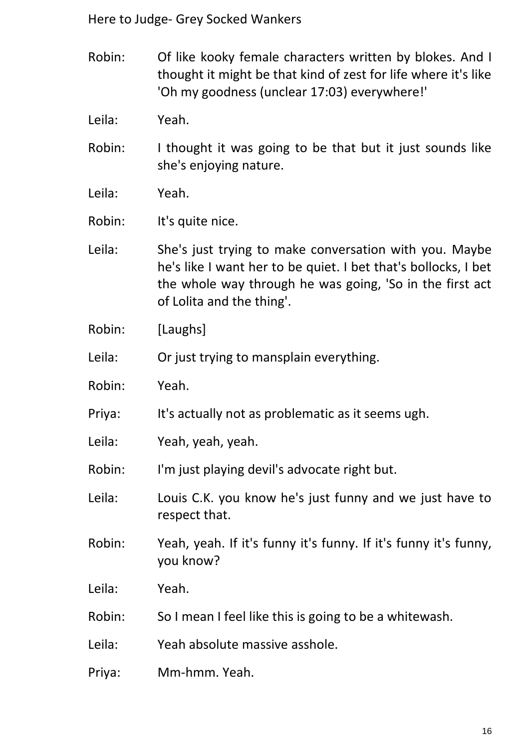- Robin: Of like kooky female characters written by blokes. And I thought it might be that kind of zest for life where it's like 'Oh my goodness (unclear 17:03) everywhere!'
- Leila: Yeah.
- Robin: I thought it was going to be that but it just sounds like she's enjoying nature.
- Leila: Yeah.

Robin: It's quite nice.

- Leila: She's just trying to make conversation with you. Maybe he's like I want her to be quiet. I bet that's bollocks, I bet the whole way through he was going, 'So in the first act of Lolita and the thing'.
- Robin: [Laughs]

Leila: Or just trying to mansplain everything.

- Robin: Yeah.
- Priya: It's actually not as problematic as it seems ugh.
- Leila: Yeah, yeah, yeah.
- Robin: I'm just playing devil's advocate right but.
- Leila: Louis C.K. you know he's just funny and we just have to respect that.
- Robin: Yeah, yeah. If it's funny it's funny. If it's funny it's funny, you know?
- Leila: Yeah.
- Robin: So I mean I feel like this is going to be a whitewash.

Leila: Yeah absolute massive asshole.

Priya: Mm-hmm. Yeah.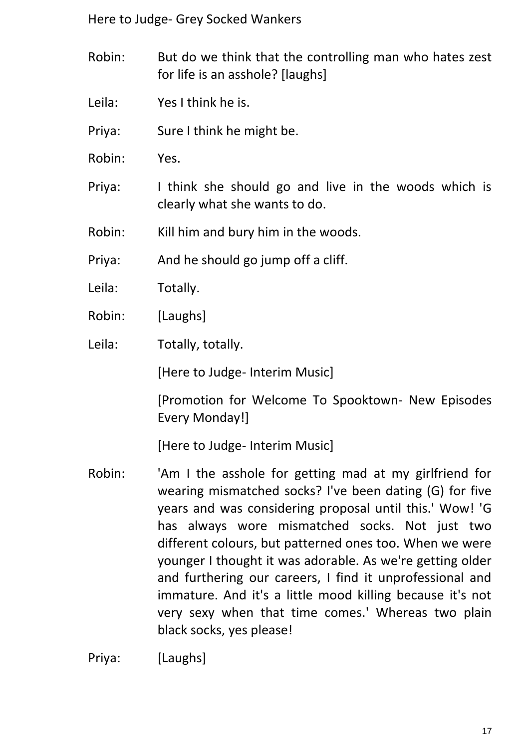- Robin: But do we think that the controlling man who hates zest for life is an asshole? [laughs]
- Leila: Yes I think he is.
- Priya: Sure I think he might be.
- Robin: Yes.
- Priya: I think she should go and live in the woods which is clearly what she wants to do.
- Robin: Kill him and bury him in the woods.

Priya: And he should go jump off a cliff.

- Leila: Totally.
- Robin: [Laughs]
- Leila: Totally, totally.

[Here to Judge- Interim Music]

[Promotion for Welcome To Spooktown- New Episodes Every Monday!]

[Here to Judge- Interim Music]

Robin: 'Am I the asshole for getting mad at my girlfriend for wearing mismatched socks? I've been dating (G) for five years and was considering proposal until this.' Wow! 'G has always wore mismatched socks. Not just two different colours, but patterned ones too. When we were younger I thought it was adorable. As we're getting older and furthering our careers, I find it unprofessional and immature. And it's a little mood killing because it's not very sexy when that time comes.' Whereas two plain black socks, yes please!

Priya: [Laughs]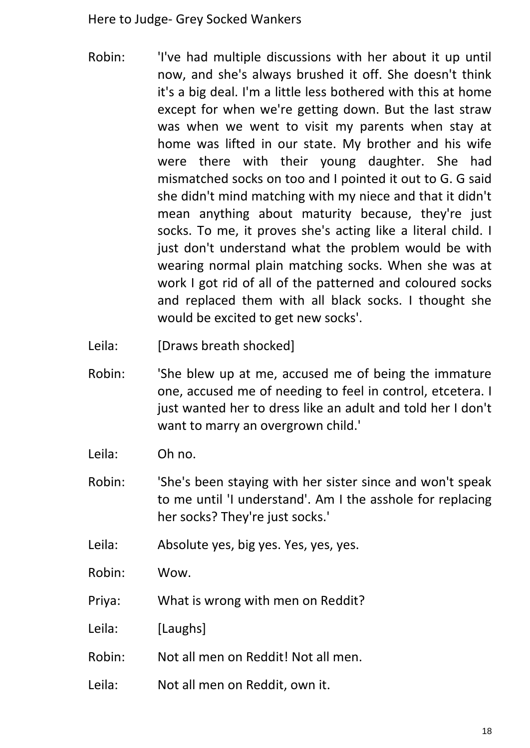- Robin: 'I've had multiple discussions with her about it up until now, and she's always brushed it off. She doesn't think it's a big deal. I'm a little less bothered with this at home except for when we're getting down. But the last straw was when we went to visit my parents when stay at home was lifted in our state. My brother and his wife were there with their young daughter. She had mismatched socks on too and I pointed it out to G. G said she didn't mind matching with my niece and that it didn't mean anything about maturity because, they're just socks. To me, it proves she's acting like a literal child. I just don't understand what the problem would be with wearing normal plain matching socks. When she was at work I got rid of all of the patterned and coloured socks and replaced them with all black socks. I thought she would be excited to get new socks'.
- Leila: [Draws breath shocked]
- Robin: 'She blew up at me, accused me of being the immature one, accused me of needing to feel in control, etcetera. I just wanted her to dress like an adult and told her I don't want to marry an overgrown child.'
- Leila: Oh no.
- Robin: 'She's been staying with her sister since and won't speak to me until 'I understand'. Am I the asshole for replacing her socks? They're just socks.'
- Leila: Absolute yes, big yes. Yes, yes, yes.
- Robin: Wow.
- Priya: What is wrong with men on Reddit?
- Leila: [Laughs]
- Robin: Not all men on Reddit! Not all men.
- Leila: Not all men on Reddit, own it.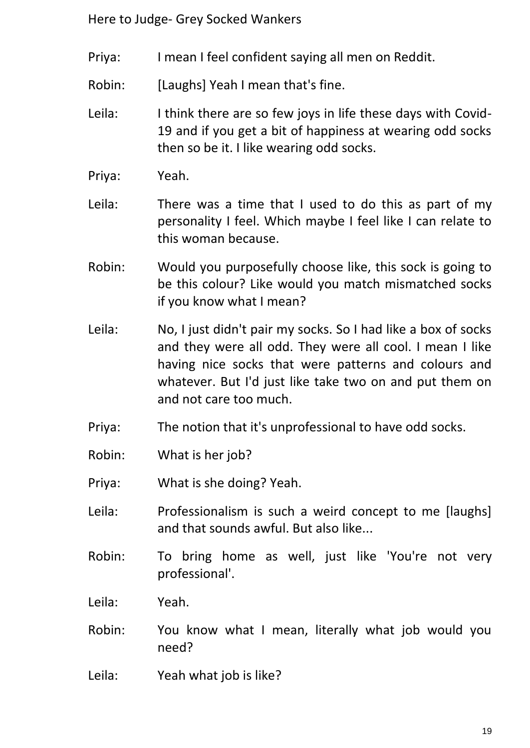- Priya: I mean I feel confident saying all men on Reddit.
- Robin: [Laughs] Yeah I mean that's fine.
- Leila: I think there are so few joys in life these days with Covid-19 and if you get a bit of happiness at wearing odd socks then so be it. I like wearing odd socks.
- Priya: Yeah.
- Leila: There was a time that I used to do this as part of my personality I feel. Which maybe I feel like I can relate to this woman because.
- Robin: Would you purposefully choose like, this sock is going to be this colour? Like would you match mismatched socks if you know what I mean?
- Leila: No, I just didn't pair my socks. So I had like a box of socks and they were all odd. They were all cool. I mean I like having nice socks that were patterns and colours and whatever. But I'd just like take two on and put them on and not care too much.
- Priya: The notion that it's unprofessional to have odd socks.
- Robin: What is her job?
- Priya: What is she doing? Yeah.
- Leila: Professionalism is such a weird concept to me [laughs] and that sounds awful. But also like...
- Robin: To bring home as well, just like 'You're not very professional'.
- Leila: Yeah.
- Robin: You know what I mean, literally what job would you need?
- Leila: Yeah what job is like?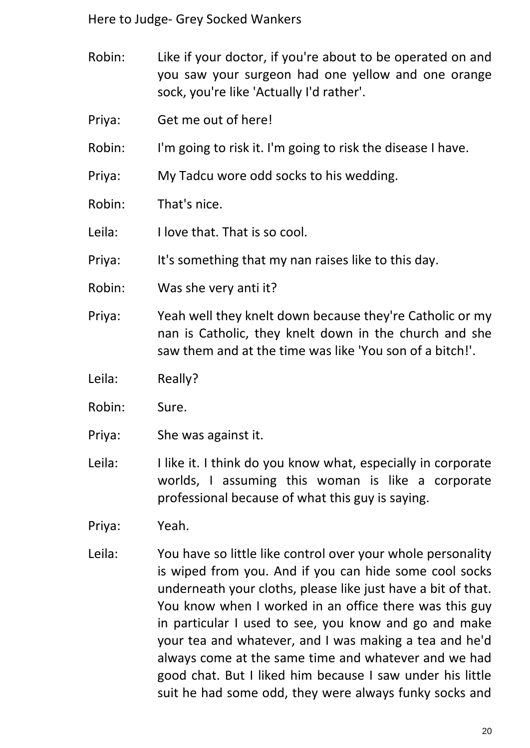- Robin: Like if your doctor, if you're about to be operated on and you saw your surgeon had one yellow and one orange sock, you're like 'Actually I'd rather'.
- Priya: Get me out of here!
- Robin: I'm going to risk it. I'm going to risk the disease I have.
- Priya: My Tadcu wore odd socks to his wedding.
- Robin: That's nice.
- Leila: I love that. That is so cool.
- Priya: It's something that my nan raises like to this day.
- Robin: Was she very anti it?
- Priya: Yeah well they knelt down because they're Catholic or my nan is Catholic, they knelt down in the church and she saw them and at the time was like 'You son of a bitch!'.
- Leila: Really?
- Robin: Sure.
- Priya: She was against it.
- Leila: I like it. I think do you know what, especially in corporate worlds, I assuming this woman is like a corporate professional because of what this guy is saying.
- Priya: Yeah.
- Leila: You have so little like control over your whole personality is wiped from you. And if you can hide some cool socks underneath your cloths, please like just have a bit of that. You know when I worked in an office there was this guy in particular I used to see, you know and go and make your tea and whatever, and I was making a tea and he'd always come at the same time and whatever and we had good chat. But I liked him because I saw under his little suit he had some odd, they were always funky socks and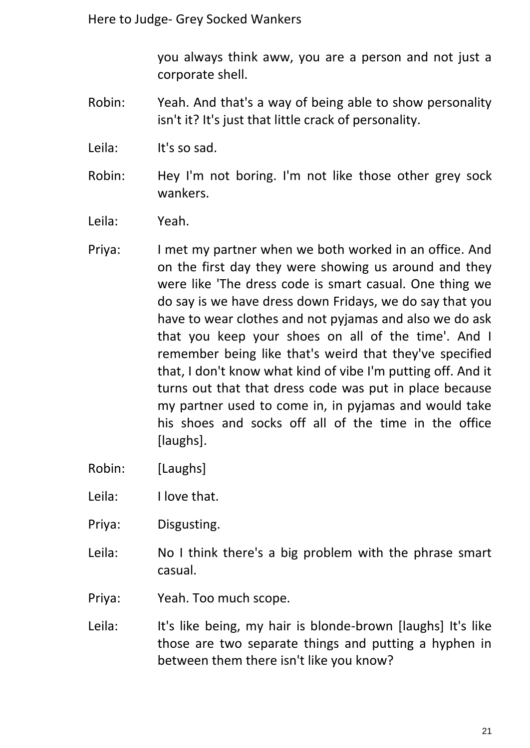you always think aww, you are a person and not just a corporate shell.

- Robin: Yeah. And that's a way of being able to show personality isn't it? It's just that little crack of personality.
- Leila: It's so sad.
- Robin: Hey I'm not boring. I'm not like those other grey sock wankers.
- Leila: Yeah.
- Priya: I met my partner when we both worked in an office. And on the first day they were showing us around and they were like 'The dress code is smart casual. One thing we do say is we have dress down Fridays, we do say that you have to wear clothes and not pyjamas and also we do ask that you keep your shoes on all of the time'. And I remember being like that's weird that they've specified that, I don't know what kind of vibe I'm putting off. And it turns out that that dress code was put in place because my partner used to come in, in pyjamas and would take his shoes and socks off all of the time in the office [laughs].
- Robin: [Laughs]
- Leila: I love that.
- Priya: Disgusting.
- Leila: No I think there's a big problem with the phrase smart casual.
- Priya: Yeah. Too much scope.
- Leila: It's like being, my hair is blonde-brown [laughs] It's like those are two separate things and putting a hyphen in between them there isn't like you know?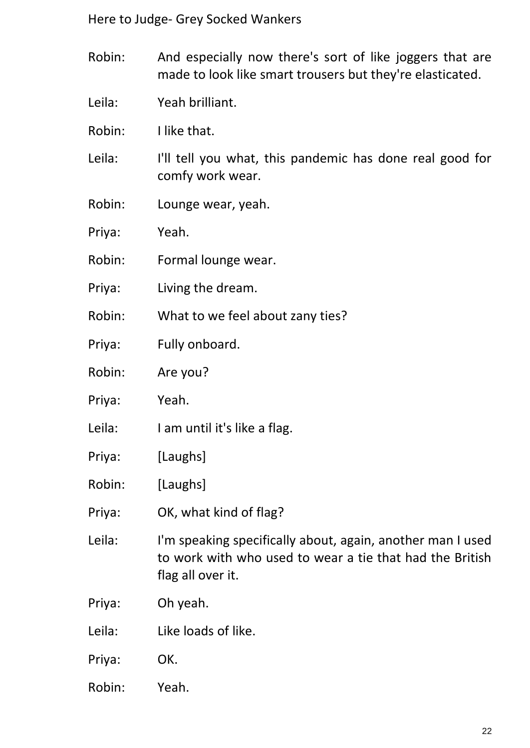- Robin: And especially now there's sort of like joggers that are made to look like smart trousers but they're elasticated.
- Leila: Yeah brilliant.
- Robin: I like that.
- Leila: I'll tell you what, this pandemic has done real good for comfy work wear.
- Robin: Lounge wear, yeah.
- Priya: Yeah.
- Robin: Formal lounge wear.
- Priya: Living the dream.
- Robin: What to we feel about zany ties?
- Priya: Fully onboard.
- Robin: Are you?
- Priya: Yeah.
- Leila: I am until it's like a flag.
- Priya: [Laughs]
- Robin: [Laughs]
- Priya: OK, what kind of flag?
- Leila: I'm speaking specifically about, again, another man I used to work with who used to wear a tie that had the British flag all over it.
- Priya: Oh yeah.
- Leila: Like loads of like.
- Priya: OK.
- Robin: Yeah.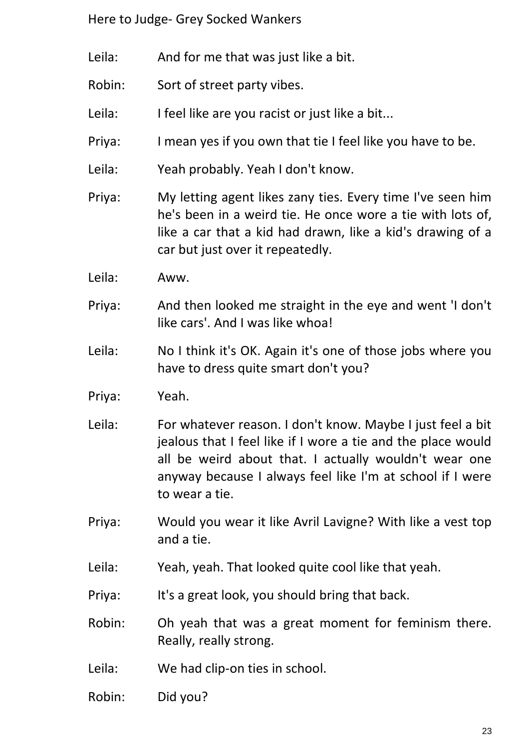- Leila: And for me that was just like a bit.
- Robin: Sort of street party vibes.
- Leila: I feel like are you racist or just like a bit...
- Priya: I mean yes if you own that tie I feel like you have to be.
- Leila: Yeah probably. Yeah I don't know.
- Priya: My letting agent likes zany ties. Every time I've seen him he's been in a weird tie. He once wore a tie with lots of, like a car that a kid had drawn, like a kid's drawing of a car but just over it repeatedly.
- Leila: Aww.
- Priya: And then looked me straight in the eye and went 'I don't like cars'. And I was like whoa!
- Leila: No I think it's OK. Again it's one of those jobs where you have to dress quite smart don't you?
- Priya: Yeah.
- Leila: For whatever reason. I don't know. Maybe I just feel a bit jealous that I feel like if I wore a tie and the place would all be weird about that. I actually wouldn't wear one anyway because I always feel like I'm at school if I were to wear a tie.
- Priya: Would you wear it like Avril Lavigne? With like a vest top and a tie.
- Leila: Yeah, yeah. That looked quite cool like that yeah.
- Priya: It's a great look, you should bring that back.
- Robin: Oh yeah that was a great moment for feminism there. Really, really strong.
- Leila: We had clip-on ties in school.
- Robin: Did you?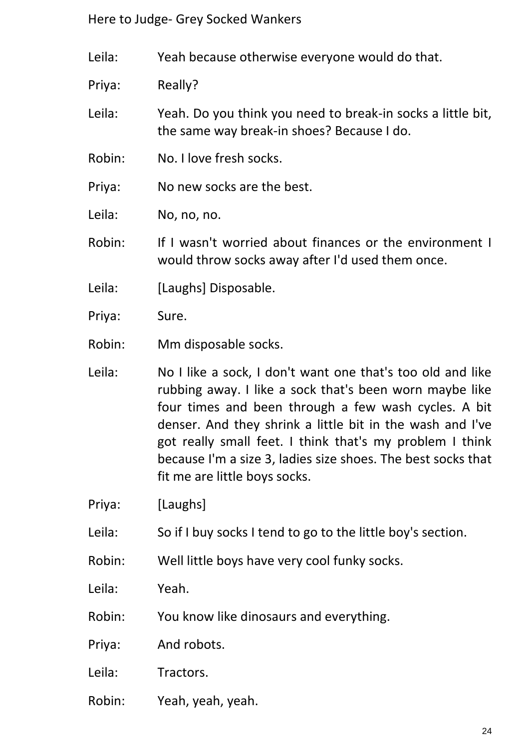Leila: Yeah because otherwise everyone would do that.

Priya: Really?

Leila: Yeah. Do you think you need to break-in socks a little bit, the same way break-in shoes? Because I do.

Robin: No. I love fresh socks.

Priya: No new socks are the best.

Leila: No, no, no.

Robin: If I wasn't worried about finances or the environment I would throw socks away after I'd used them once.

- Leila: [Laughs] Disposable.
- Priya: Sure.

Robin: Mm disposable socks.

- Leila: No I like a sock, I don't want one that's too old and like rubbing away. I like a sock that's been worn maybe like four times and been through a few wash cycles. A bit denser. And they shrink a little bit in the wash and I've got really small feet. I think that's my problem I think because I'm a size 3, ladies size shoes. The best socks that fit me are little boys socks.
- Priya: [Laughs]
- Leila: So if I buy socks I tend to go to the little boy's section.
- Robin: Well little boys have very cool funky socks.
- Leila: Yeah.
- Robin: You know like dinosaurs and everything.
- Priya: And robots.
- Leila: Tractors.
- Robin: Yeah, yeah, yeah.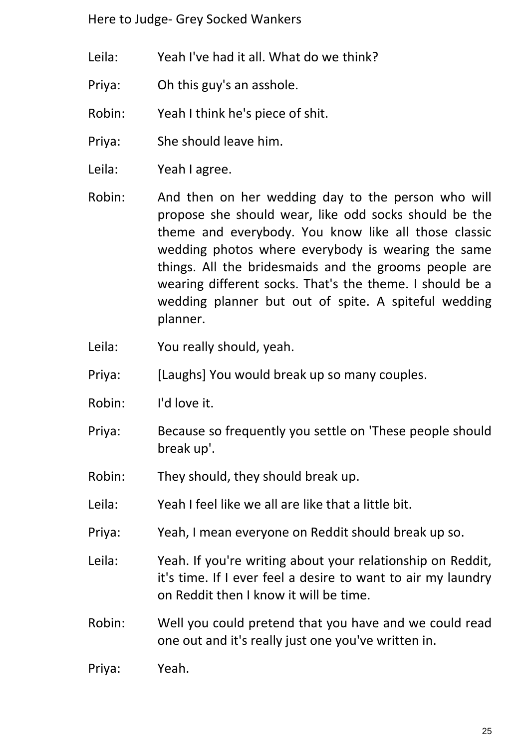- Leila: Yeah I've had it all. What do we think?
- Priya: Oh this guy's an asshole.
- Robin: Yeah I think he's piece of shit.
- Priya: She should leave him.
- Leila: Yeah I agree.
- Robin: And then on her wedding day to the person who will propose she should wear, like odd socks should be the theme and everybody. You know like all those classic wedding photos where everybody is wearing the same things. All the bridesmaids and the grooms people are wearing different socks. That's the theme. I should be a wedding planner but out of spite. A spiteful wedding planner.
- Leila: You really should, yeah.
- Priya: [Laughs] You would break up so many couples.
- Robin: I'd love it.
- Priya: Because so frequently you settle on 'These people should break up'.
- Robin: They should, they should break up.
- Leila: Yeah I feel like we all are like that a little bit.
- Priya: Yeah, I mean everyone on Reddit should break up so.
- Leila: Yeah. If you're writing about your relationship on Reddit, it's time. If I ever feel a desire to want to air my laundry on Reddit then I know it will be time.
- Robin: Well you could pretend that you have and we could read one out and it's really just one you've written in.
- Priya: Yeah.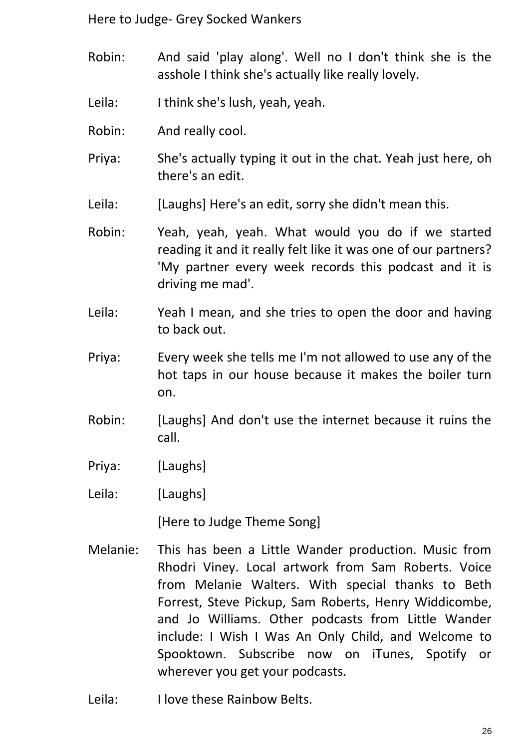- Robin: And said 'play along'. Well no I don't think she is the asshole I think she's actually like really lovely.
- Leila: I think she's lush, yeah, yeah.
- Robin: And really cool.
- Priya: She's actually typing it out in the chat. Yeah just here, oh there's an edit.
- Leila: [Laughs] Here's an edit, sorry she didn't mean this.
- Robin: Yeah, yeah, yeah. What would you do if we started reading it and it really felt like it was one of our partners? 'My partner every week records this podcast and it is driving me mad'.
- Leila: Yeah I mean, and she tries to open the door and having to back out.
- Priya: Every week she tells me I'm not allowed to use any of the hot taps in our house because it makes the boiler turn on.
- Robin: [Laughs] And don't use the internet because it ruins the call.
- Priya: [Laughs]
- Leila: [Laughs]

[Here to Judge Theme Song]

- Melanie: This has been a Little Wander production. Music from Rhodri Viney. Local artwork from Sam Roberts. Voice from Melanie Walters. With special thanks to Beth Forrest, Steve Pickup, Sam Roberts, Henry Widdicombe, and Jo Williams. Other podcasts from Little Wander include: I Wish I Was An Only Child, and Welcome to Spooktown. Subscribe now on iTunes, Spotify or wherever you get your podcasts.
- Leila: I love these Rainbow Belts.